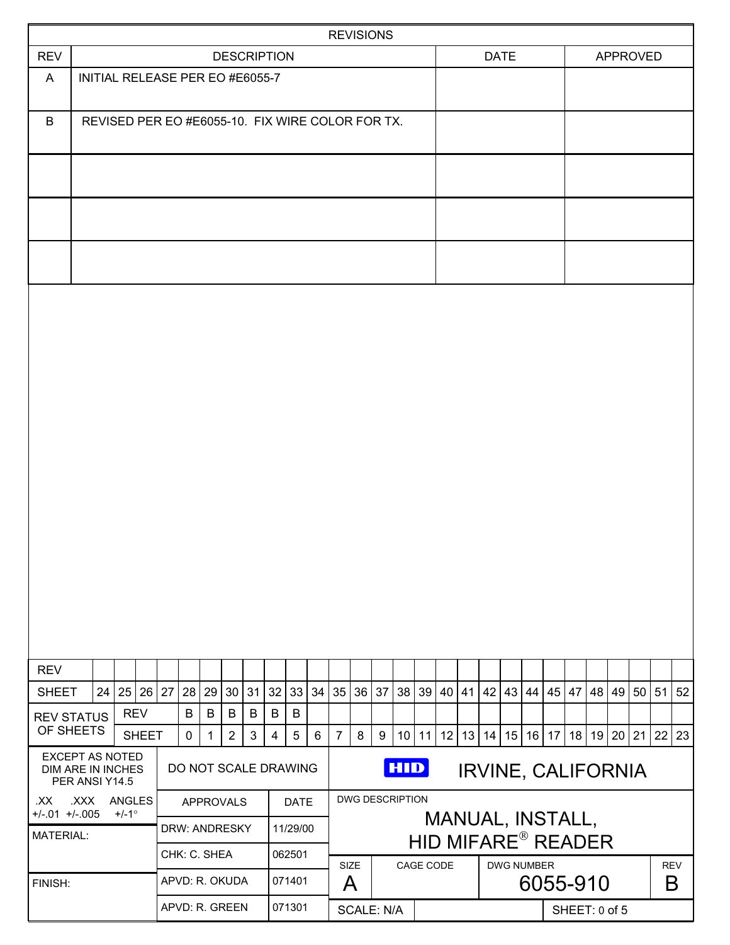|                                                                                                |                                 |                    |                         |              |                |             |              |                        |                           |                |                                    |                                    | <b>REVISIONS</b>       |    |             |  |                                                                     |  |  |          |                        |            |   |                           |    |    |  |          |  |
|------------------------------------------------------------------------------------------------|---------------------------------|--------------------|-------------------------|--------------|----------------|-------------|--------------|------------------------|---------------------------|----------------|------------------------------------|------------------------------------|------------------------|----|-------------|--|---------------------------------------------------------------------|--|--|----------|------------------------|------------|---|---------------------------|----|----|--|----------|--|
| <b>REV</b>                                                                                     |                                 | <b>DESCRIPTION</b> |                         |              |                |             |              |                        |                           |                |                                    |                                    |                        |    | <b>DATE</b> |  |                                                                     |  |  | APPROVED |                        |            |   |                           |    |    |  |          |  |
| A                                                                                              | INITIAL RELEASE PER EO #E6055-7 |                    |                         |              |                |             |              |                        |                           |                |                                    |                                    |                        |    |             |  |                                                                     |  |  |          |                        |            |   |                           |    |    |  |          |  |
| B<br>REVISED PER EO #E6055-10. FIX WIRE COLOR FOR TX.                                          |                                 |                    |                         |              |                |             |              |                        |                           |                |                                    |                                    |                        |    |             |  |                                                                     |  |  |          |                        |            |   |                           |    |    |  |          |  |
|                                                                                                |                                 |                    |                         |              |                |             |              |                        |                           |                |                                    |                                    |                        |    |             |  |                                                                     |  |  |          |                        |            |   |                           |    |    |  |          |  |
|                                                                                                |                                 |                    |                         |              |                |             |              |                        |                           |                |                                    |                                    |                        |    |             |  |                                                                     |  |  |          |                        |            |   |                           |    |    |  |          |  |
|                                                                                                |                                 |                    |                         |              |                |             |              |                        |                           |                |                                    |                                    |                        |    |             |  |                                                                     |  |  |          |                        |            |   |                           |    |    |  |          |  |
|                                                                                                |                                 |                    |                         |              |                |             |              |                        |                           |                |                                    |                                    |                        |    |             |  |                                                                     |  |  |          |                        |            |   |                           |    |    |  |          |  |
|                                                                                                |                                 |                    |                         |              |                |             |              |                        |                           |                |                                    |                                    |                        |    |             |  |                                                                     |  |  |          |                        |            |   |                           |    |    |  |          |  |
|                                                                                                |                                 |                    |                         |              |                |             |              |                        |                           |                |                                    |                                    |                        |    |             |  |                                                                     |  |  |          |                        |            |   |                           |    |    |  |          |  |
|                                                                                                |                                 |                    |                         |              |                |             |              |                        |                           |                |                                    |                                    |                        |    |             |  |                                                                     |  |  |          |                        |            |   |                           |    |    |  |          |  |
|                                                                                                |                                 |                    |                         |              |                |             |              |                        |                           |                |                                    |                                    |                        |    |             |  |                                                                     |  |  |          |                        |            |   |                           |    |    |  |          |  |
|                                                                                                |                                 |                    |                         |              |                |             |              |                        |                           |                |                                    |                                    |                        |    |             |  |                                                                     |  |  |          |                        |            |   |                           |    |    |  |          |  |
|                                                                                                |                                 |                    |                         |              |                |             |              |                        |                           |                |                                    |                                    |                        |    |             |  |                                                                     |  |  |          |                        |            |   |                           |    |    |  |          |  |
|                                                                                                |                                 |                    |                         |              |                |             |              |                        |                           |                |                                    |                                    |                        |    |             |  |                                                                     |  |  |          |                        |            |   |                           |    |    |  |          |  |
|                                                                                                |                                 |                    |                         |              |                |             |              |                        |                           |                |                                    |                                    |                        |    |             |  |                                                                     |  |  |          |                        |            |   |                           |    |    |  |          |  |
| <b>REV</b>                                                                                     |                                 |                    |                         |              |                |             |              |                        |                           |                |                                    |                                    |                        |    |             |  |                                                                     |  |  |          |                        |            |   |                           |    |    |  |          |  |
| <b>SHEET</b>                                                                                   |                                 |                    | 24 25 26 27             |              |                |             | 28 29 30     |                        | 31                        | 32             | 33                                 |                                    | 34 35                  | 36 | 37          |  | 38 39 40 41                                                         |  |  |          | 42   43   44   45   47 |            |   |                           | 48 | 49 |  | 50 51 52 |  |
| <b>REV STATUS</b>                                                                              |                                 |                    | <b>REV</b>              |              |                | B           | B            | $\sf B$                | B                         | $\sf B$        | $\sf B$                            |                                    |                        |    |             |  |                                                                     |  |  |          |                        |            |   |                           |    |    |  |          |  |
| OF SHEETS                                                                                      |                                 |                    |                         | <b>SHEET</b> |                | $\mathbf 0$ | $\mathbf{1}$ | $\overline{2}$         | $\mathbf{3}$              | $\overline{4}$ | 5                                  | $6\phantom{1}6$                    | $\overline{7}$         | 8  | 9           |  | 10   11   12   13   14   15   16   17   18   19   20   21   22   23 |  |  |          |                        |            |   |                           |    |    |  |          |  |
| <b>EXCEPT AS NOTED</b><br><b>DIM ARE IN INCHES</b>                                             | PER ANSI Y14.5                  |                    |                         |              |                |             |              |                        |                           |                | <b>HID</b><br>DO NOT SCALE DRAWING |                                    |                        |    |             |  |                                                                     |  |  |          |                        |            |   | <b>IRVINE, CALIFORNIA</b> |    |    |  |          |  |
| .XXX ANGLES<br>.XX<br><b>APPROVALS</b><br>$+/-.01$ +/-.005<br>$+/-1$ °<br><b>DRW: ANDRESKY</b> |                                 |                    | <b>DATE</b><br>11/29/00 |              |                |             |              | <b>DWG DESCRIPTION</b> |                           |                |                                    |                                    |                        |    |             |  | MANUAL, INSTALL,                                                    |  |  |          |                        |            |   |                           |    |    |  |          |  |
| <b>MATERIAL:</b><br>CHK: C. SHEA                                                               |                                 |                    |                         | 062501       |                |             |              |                        | <b>HID MIFARE® READER</b> |                |                                    |                                    |                        |    |             |  |                                                                     |  |  |          |                        |            |   |                           |    |    |  |          |  |
| FINISH:                                                                                        |                                 |                    |                         |              | APVD: R. OKUDA |             |              |                        |                           | 071401         |                                    |                                    | SIZE<br>CAGE CODE<br>A |    |             |  | <b>DWG NUMBER</b><br>6055-910                                       |  |  |          |                        | <b>REV</b> | B |                           |    |    |  |          |  |
|                                                                                                |                                 |                    |                         |              | APVD: R. GREEN |             |              |                        | 071301                    |                |                                    | <b>SCALE: N/A</b><br>SHEET: 0 of 5 |                        |    |             |  |                                                                     |  |  |          |                        |            |   |                           |    |    |  |          |  |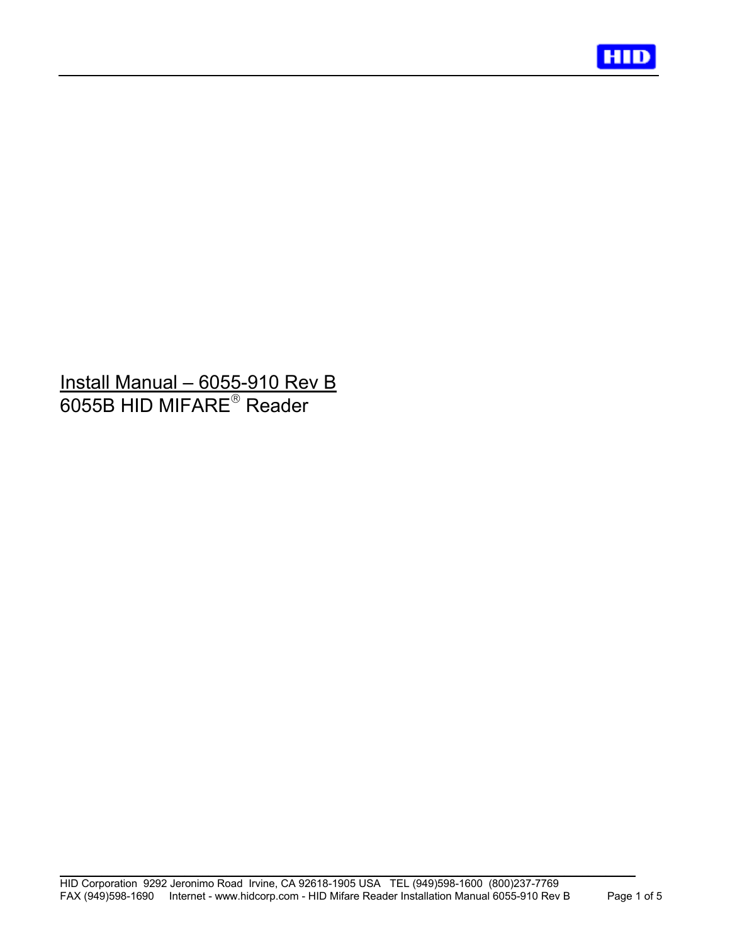

# Install Manual – 6055-910 Rev B 6055B HID MIFARE $^\circ$  Reader

j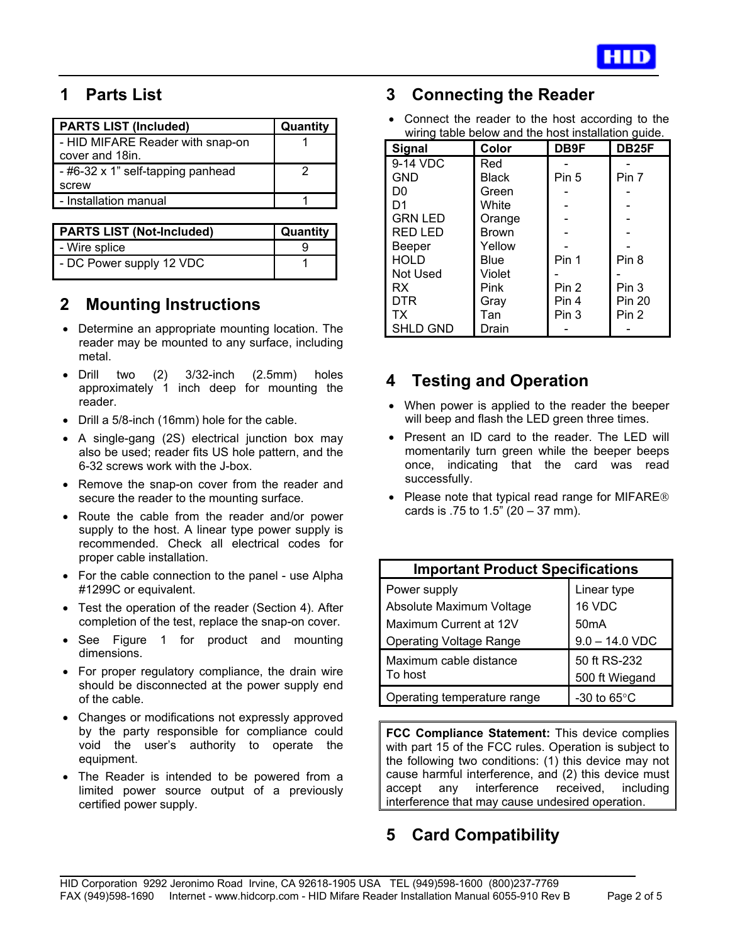

# **1 Parts List**

j

| <b>PARTS LIST (Included)</b>      | Quantity |
|-----------------------------------|----------|
| - HID MIFARE Reader with snap-on  |          |
| cover and 18in.                   |          |
| - #6-32 x 1" self-tapping panhead |          |
| screw                             |          |
| - Installation manual             |          |

| <b>PARTS LIST (Not-Included)</b> | Quantity |  |  |  |
|----------------------------------|----------|--|--|--|
| - Wire splice                    |          |  |  |  |
| - DC Power supply 12 VDC         |          |  |  |  |

### **2 Mounting Instructions**

- Determine an appropriate mounting location. The reader may be mounted to any surface, including metal.
- Drill two (2) 3/32-inch (2.5mm) holes approximately 1 inch deep for mounting the reader.
- Drill a 5/8-inch (16mm) hole for the cable.
- A single-gang (2S) electrical junction box may also be used; reader fits US hole pattern, and the 6-32 screws work with the J-box.
- Remove the snap-on cover from the reader and secure the reader to the mounting surface.
- Route the cable from the reader and/or power supply to the host. A linear type power supply is recommended. Check all electrical codes for proper cable installation.
- For the cable connection to the panel use Alpha #1299C or equivalent.
- Test the operation of the reader (Section 4). After completion of the test, replace the snap-on cover.
- See Figure 1 for product and mounting dimensions.
- For proper regulatory compliance, the drain wire should be disconnected at the power supply end of the cable.
- Changes or modifications not expressly approved by the party responsible for compliance could void the user's authority to operate the equipment.
- The Reader is intended to be powered from a limited power source output of a previously certified power supply.

### **3 Connecting the Reader**

• Connect the reader to the host according to the wiring table below and the host installation guide.

| Signal          | Color        | DB9F  | DB <sub>25F</sub> |
|-----------------|--------------|-------|-------------------|
| 9-14 VDC        | Red          |       |                   |
| <b>GND</b>      | <b>Black</b> | Pin 5 | Pin 7             |
| D0              | Green        |       |                   |
| D <sub>1</sub>  | White        |       |                   |
| <b>GRN LED</b>  | Orange       |       |                   |
| <b>RED LED</b>  | <b>Brown</b> |       |                   |
| Beeper          | Yellow       |       |                   |
| <b>HOLD</b>     | Blue         | Pin 1 | Pin 8             |
| <b>Not Used</b> | Violet       |       |                   |
| <b>RX</b>       | Pink         | Pin 2 | Pin 3             |
| <b>DTR</b>      | Gray         | Pin 4 | <b>Pin 20</b>     |
| TX              | Tan          | Pin 3 | Pin <sub>2</sub>  |
| <b>SHLD GND</b> | Drain        |       |                   |

# **4 Testing and Operation**

- When power is applied to the reader the beeper will beep and flash the LED green three times.
- Present an ID card to the reader. The LED will momentarily turn green while the beeper beeps once, indicating that the card was read successfully.
- Please note that typical read range for MIFARE<sup>®</sup> cards is .75 to  $1.5$ " (20 – 37 mm).

| <b>Important Product Specifications</b>                            |                                            |  |  |  |  |  |  |  |  |
|--------------------------------------------------------------------|--------------------------------------------|--|--|--|--|--|--|--|--|
| Power supply<br>Absolute Maximum Voltage<br>Maximum Current at 12V | Linear type<br>16 VDC<br>50 <sub>m</sub> A |  |  |  |  |  |  |  |  |
| <b>Operating Voltage Range</b>                                     | $9.0 - 14.0$ VDC                           |  |  |  |  |  |  |  |  |
| Maximum cable distance<br>To host                                  | 50 ft RS-232<br>500 ft Wiegand             |  |  |  |  |  |  |  |  |
| Operating temperature range                                        | -30 to $65^{\circ}$ C                      |  |  |  |  |  |  |  |  |

**FCC Compliance Statement:** This device complies with part 15 of the FCC rules. Operation is subject to the following two conditions: (1) this device may not cause harmful interference, and (2) this device must accept any interference received, including interference that may cause undesired operation.

# **5 Card Compatibility**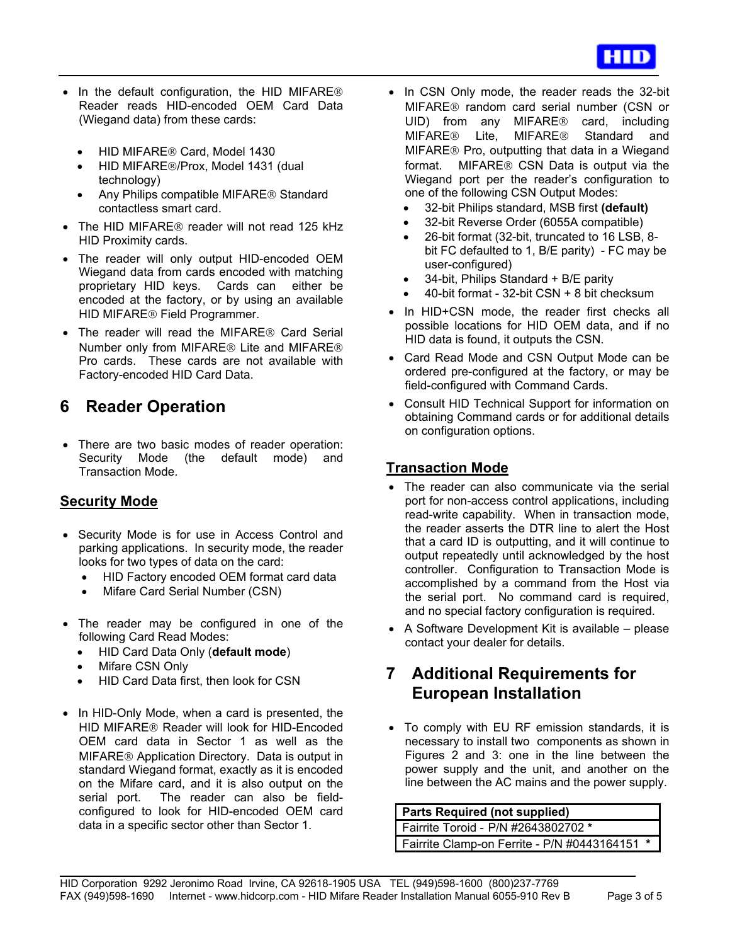

- In the default configuration, the HID MIFARE<sup>®</sup> Reader reads HID-encoded OEM Card Data (Wiegand data) from these cards:
	- HID MIFARE<sup>®</sup> Card, Model 1430

j

- HID MIFARE®/Prox, Model 1431 (dual technology)
- Any Philips compatible MIFARE<sup>®</sup> Standard contactless smart card.
- The HID MIFARE<sup>®</sup> reader will not read 125 kHz HID Proximity cards.
- The reader will only output HID-encoded OEM Wiegand data from cards encoded with matching proprietary HID keys. Cards can either be encoded at the factory, or by using an available HID MIFARE<sup>®</sup> Field Programmer.
- The reader will read the MIFARE<sup>®</sup> Card Serial Number only from MIFARE<sup>®</sup> Lite and MIFARE<sup>®</sup> Pro cards. These cards are not available with Factory-encoded HID Card Data.

### **6 Reader Operation**

• There are two basic modes of reader operation: Security Mode (the default mode) and Transaction Mode.

#### **Security Mode**

- Security Mode is for use in Access Control and parking applications. In security mode, the reader looks for two types of data on the card:
	- HID Factory encoded OEM format card data
	- Mifare Card Serial Number (CSN)
- The reader may be configured in one of the following Card Read Modes:
	- HID Card Data Only (**default mode**)
	- **Mifare CSN Only**
	- HID Card Data first, then look for CSN
- In HID-Only Mode, when a card is presented, the HID MIFARE<sup>®</sup> Reader will look for HID-Encoded OEM card data in Sector 1 as well as the MIFARE<sup>®</sup> Application Directory. Data is output in standard Wiegand format, exactly as it is encoded on the Mifare card, and it is also output on the serial port. The reader can also be fieldconfigured to look for HID-encoded OEM card data in a specific sector other than Sector 1.
- In CSN Only mode, the reader reads the 32-bit MIFARE<sup>®</sup> random card serial number (CSN or UID) from any MIFARE<sup>®</sup> card, including MIFARE<sup>®</sup> Lite, MIFARE<sup>®</sup> Standard and MIFARE<sup>®</sup> Pro, outputting that data in a Wiegand format. MIFARE<sup>®</sup> CSN Data is output via the Wiegand port per the reader's configuration to one of the following CSN Output Modes:
	- 32-bit Philips standard, MSB first **(default)**
	- 32-bit Reverse Order (6055A compatible)
	- 26-bit format (32-bit, truncated to 16 LSB, 8 bit FC defaulted to 1, B/E parity) - FC may be user-configured)
	- 34-bit, Philips Standard + B/E parity
	- 40-bit format 32-bit CSN + 8 bit checksum
- In HID+CSN mode, the reader first checks all possible locations for HID OEM data, and if no HID data is found, it outputs the CSN.
- Card Read Mode and CSN Output Mode can be ordered pre-configured at the factory, or may be field-configured with Command Cards.
- Consult HID Technical Support for information on obtaining Command cards or for additional details on configuration options.

### **Transaction Mode**

- The reader can also communicate via the serial port for non-access control applications, including read-write capability. When in transaction mode, the reader asserts the DTR line to alert the Host that a card ID is outputting, and it will continue to output repeatedly until acknowledged by the host controller. Configuration to Transaction Mode is accomplished by a command from the Host via the serial port. No command card is required, and no special factory configuration is required.
- A Software Development Kit is available please contact your dealer for details.

# **7 Additional Requirements for European Installation**

• To comply with EU RF emission standards, it is necessary to install two components as shown in Figures 2 and 3: one in the line between the power supply and the unit, and another on the line between the AC mains and the power supply.

#### **Parts Required (not supplied)**  Fairrite Toroid - P/N #2643802702 **\*** Fairrite Clamp-on Ferrite - P/N #0443164151 **\***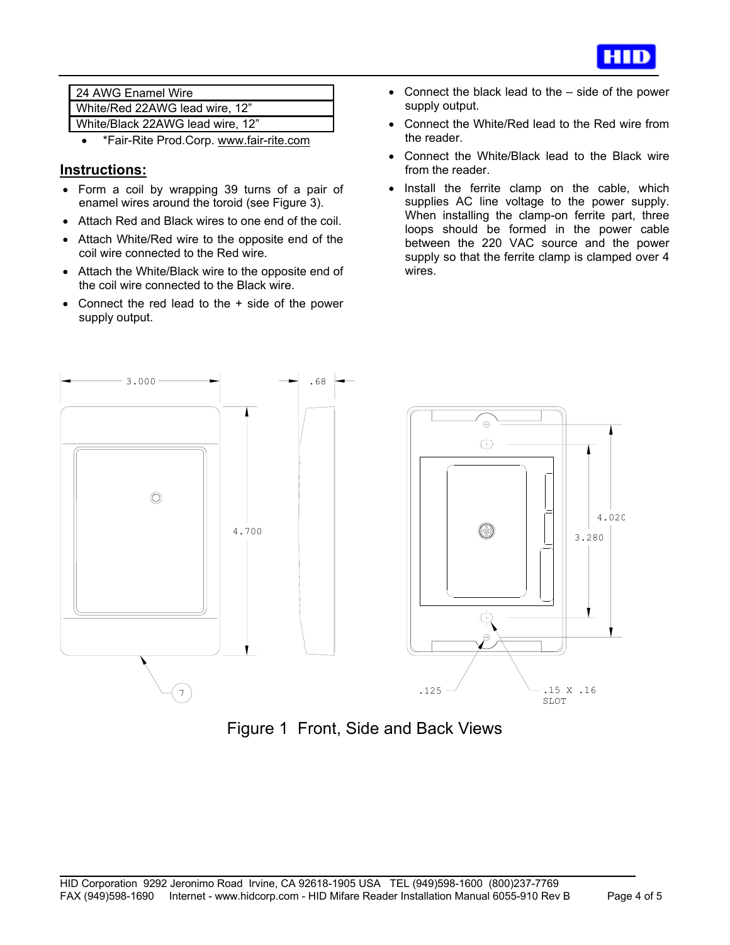

| 24 AWG Enamel Wire               |
|----------------------------------|
| White/Red 22AWG lead wire, 12"   |
| White/Black 22AWG lead wire, 12" |

• \*Fair-Rite Prod.Corp. www.fair-rite.com

#### **Instructions:**

j

- Form a coil by wrapping 39 turns of a pair of enamel wires around the toroid (see Figure 3).
- Attach Red and Black wires to one end of the coil.
- Attach White/Red wire to the opposite end of the coil wire connected to the Red wire.
- Attach the White/Black wire to the opposite end of the coil wire connected to the Black wire.
- Connect the red lead to the + side of the power supply output.
- Connect the black lead to the side of the power supply output.
- Connect the White/Red lead to the Red wire from the reader.
- Connect the White/Black lead to the Black wire from the reader.
- Install the ferrite clamp on the cable, which supplies AC line voltage to the power supply. When installing the clamp-on ferrite part, three loops should be formed in the power cable between the 220 VAC source and the power supply so that the ferrite clamp is clamped over 4 wires.